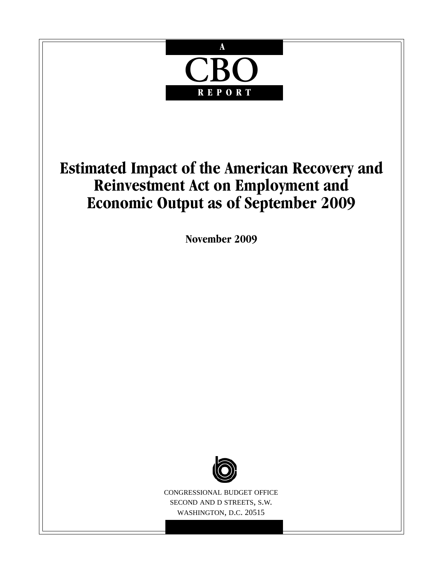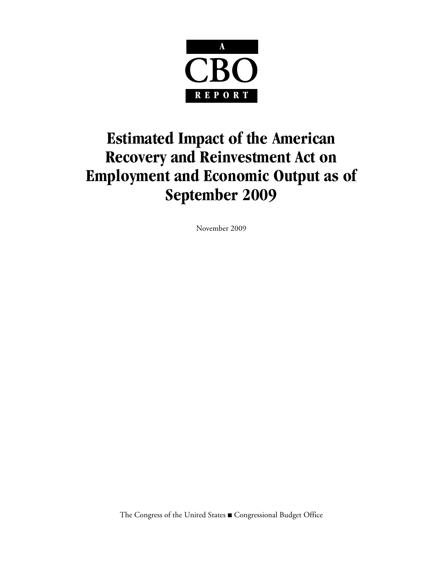

# Esumattu impati vi uit amitritan<br>Deceveur and Deinvestment Let on **Recovery and Reinvestment Act on Employment and Economic Output as of September 2009**

November 2009

The Congress of the United States Gongressional Budget Office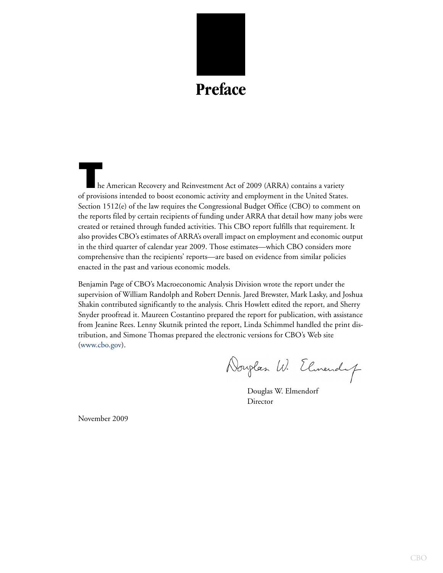

**T**he American Recovery and Reinvestment Act of 2009 (ARRA) contains a variety of provisions intended to boost economic activity and employment in the United States. Section 1512(e) of the law requires the Congressional Budget Office (CBO) to comment on the reports filed by certain recipients of funding under ARRA that detail how many jobs were created or retained through funded activities. This CBO report fulfills that requirement. It also provides CBO's estimates of ARRA's overall impact on employment and economic output in the third quarter of calendar year 2009. Those estimates—which CBO considers more comprehensive than the recipients' reports—are based on evidence from similar policies enacted in the past and various economic models.

Benjamin Page of CBO's Macroeconomic Analysis Division wrote the report under the supervision of William Randolph and Robert Dennis. Jared Brewster, Mark Lasky, and Joshua Shakin contributed significantly to the analysis. Chris Howlett edited the report, and Sherry Snyder proofread it. Maureen Costantino prepared the report for publication, with assistance from Jeanine Rees. Lenny Skutnik printed the report, Linda Schimmel handled the print distribution, and Simone Thomas prepared the electronic versions for CBO's Web site [\(www.cbo.gov\)](http://www.cbo.gov).

Douglas W. Elmendy

Douglas W. Elmendorf Director

November 2009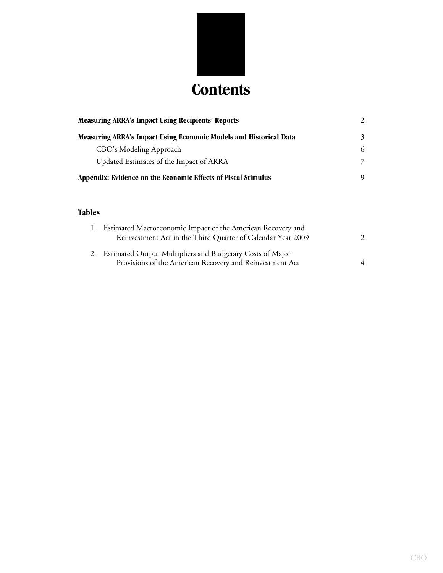

| <b>Measuring ARRA's Impact Using Recipients' Reports</b>          |   |  |
|-------------------------------------------------------------------|---|--|
| Measuring ARRA's Impact Using Economic Models and Historical Data | 3 |  |
| CBO's Modeling Approach                                           | 6 |  |
| Updated Estimates of the Impact of ARRA                           | 7 |  |
| Appendix: Evidence on the Economic Effects of Fiscal Stimulus     |   |  |
|                                                                   |   |  |

#### **Tables**

| 1. Estimated Macroeconomic Impact of the American Recovery and<br>Reinvestment Act in the Third Quarter of Calendar Year 2009 | $\mathcal{P}$ |
|-------------------------------------------------------------------------------------------------------------------------------|---------------|
| 2. Estimated Output Multipliers and Budgetary Costs of Major<br>Provisions of the American Recovery and Reinvestment Act      | 4             |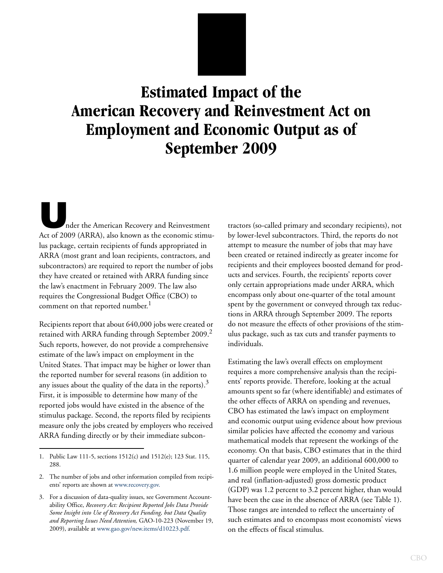**Estimated Impact of the American Recovery and Reinvestment Act on Employment and Economic Output as of September 2009**

**U**nder the American Recovery and Reinvestment Act of 2009 (ARRA), also known as the economic stimulus package, certain recipients of funds appropriated in ARRA (most grant and loan recipients, contractors, and subcontractors) are required to report the number of jobs they have created or retained with ARRA funding since the law's enactment in February 2009. The law also requires the Congressional Budget Office (CBO) to comment on that reported number.<sup>1</sup>

Recipients report that about 640,000 jobs were created or retained with ARRA funding through September 2009.<sup>2</sup> Such reports, however, do not provide a comprehensive estimate of the law's impact on employment in the United States. That impact may be higher or lower than the reported number for several reasons (in addition to any issues about the quality of the data in the reports).<sup>3</sup> First, it is impossible to determine how many of the reported jobs would have existed in the absence of the stimulus package. Second, the reports filed by recipients measure only the jobs created by employers who received ARRA funding directly or by their immediate subcontractors (so-called primary and secondary recipients), not by lower-level subcontractors. Third, the reports do not attempt to measure the number of jobs that may have been created or retained indirectly as greater income for recipients and their employees boosted demand for products and services. Fourth, the recipients' reports cover only certain appropriations made under ARRA, which encompass only about one-quarter of the total amount spent by the government or conveyed through tax reductions in ARRA through September 2009. The reports do not measure the effects of other provisions of the stimulus package, such as tax cuts and transfer payments to individuals.

Estimating the law's overall effects on employment requires a more comprehensive analysis than the recipients' reports provide. Therefore, looking at the actual amounts spent so far (where identifiable) and estimates of the other effects of ARRA on spending and revenues, CBO has estimated the law's impact on employment and economic output using evidence about how previous similar policies have affected the economy and various mathematical models that represent the workings of the economy. On that basis, CBO estimates that in the third quarter of calendar year 2009, an additional 600,000 to 1.6 million people were employed in the United States, and real (inflation-adjusted) gross domestic product (GDP) was 1.2 percent to 3.2 percent higher, than would have been the case in the absence of ARRA (see [Table 1\)](#page-9-0). Those ranges are intended to reflect the uncertainty of such estimates and to encompass most economists' views on the effects of fiscal stimulus.

<sup>1.</sup> Public Law 111-5, sections 1512(c) and 1512(e); 123 Stat. 115, 288.

<sup>2.</sup> The number of jobs and other information compiled from recipients' reports are shown at [www.recovery.gov.](http://www.recovery.gov/)

<sup>3.</sup> For a discussion of data-quality issues, see Government Accountability Office, *Recovery Act: Recipient Reported Jobs Data Provide Some Insight into Use of Recovery Act Funding, but Data Quality and Reporting Issues Need Attention,* GAO-10-223 (November 19, 2009), available at [www.gao.gov/new.items/d10223.pdf.](http://www.gao.gov/new.items/d10223.pdf)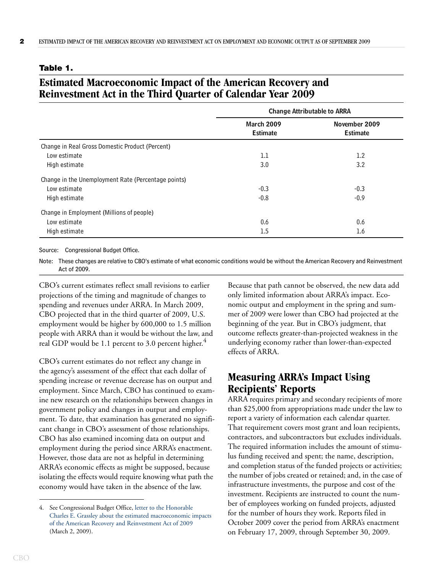#### <span id="page-9-0"></span>**Table 1.**

# **Estimated Macroeconomic Impact of the American Recovery and Reinvestment Act in the Third Quarter of Calendar Year 2009**

|                                                     | <b>Change Attributable to ARRA</b>   |                                  |
|-----------------------------------------------------|--------------------------------------|----------------------------------|
|                                                     | <b>March 2009</b><br><b>Estimate</b> | November 2009<br><b>Estimate</b> |
| Change in Real Gross Domestic Product (Percent)     |                                      |                                  |
| Low estimate                                        | 1.1                                  | 1.2                              |
| High estimate                                       | 3.0                                  | 3.2                              |
| Change in the Unemployment Rate (Percentage points) |                                      |                                  |
| Low estimate                                        | $-0.3$                               | $-0.3$                           |
| High estimate                                       | $-0.8$                               | $-0.9$                           |
| Change in Employment (Millions of people)           |                                      |                                  |
| Low estimate                                        | 0.6                                  | 0.6                              |
| High estimate                                       | 1.5                                  | $1.6\phantom{0}$                 |

Source: Congressional Budget Office.

Note: These changes are relative to CBO's estimate of what economic conditions would be without the American Recovery and Reinvestment Act of 2009.

CBO's current estimates reflect small revisions to earlier projections of the timing and magnitude of changes to spending and revenues under ARRA. In March 2009, CBO projected that in the third quarter of 2009, U.S. employment would be higher by 600,000 to 1.5 million people with ARRA than it would be without the law, and real GDP would be 1.1 percent to 3.0 percent higher.<sup>4</sup>

CBO's current estimates do not reflect any change in the agency's assessment of the effect that each dollar of spending increase or revenue decrease has on output and employment. Since March, CBO has continued to examine new research on the relationships between changes in government policy and changes in output and employment. To date, that examination has generated no significant change in CBO's assessment of those relationships. CBO has also examined incoming data on output and employment during the period since ARRA's enactment. However, those data are not as helpful in determining ARRA's economic effects as might be supposed, because isolating the effects would require knowing what path the economy would have taken in the absence of the law.

Because that path cannot be observed, the new data add only limited information about ARRA's impact. Economic output and employment in the spring and summer of 2009 were lower than CBO had projected at the beginning of the year. But in CBO's judgment, that outcome reflects greater-than-projected weakness in the underlying economy rather than lower-than-expected effects of ARRA.

# **Measuring ARRA's Impact Using Recipients' Reports**

ARRA requires primary and secondary recipients of more than \$25,000 from appropriations made under the law to report a variety of information each calendar quarter. That requirement covers most grant and loan recipients, contractors, and subcontractors but excludes individuals. The required information includes the amount of stimulus funding received and spent; the name, description, and completion status of the funded projects or activities; the number of jobs created or retained; and, in the case of infrastructure investments, the purpose and cost of the investment. Recipients are instructed to count the number of employees working on funded projects, adjusted for the number of hours they work. Reports filed in October 2009 cover the period from ARRA's enactment on February 17, 2009, through September 30, 2009.

<sup>4.</sup> See Congressional Budget Office, [letter to the Honorable](http://www.cbo.gov/ftpdocs/100xx/doc10008/03-02-Macro_Effects_of_ARRA.pdf)  Charles E. Grassley about the estimated macroeconomic impacts of the American Recovery and Reinvestment Act of 2009 (March 2, 2009).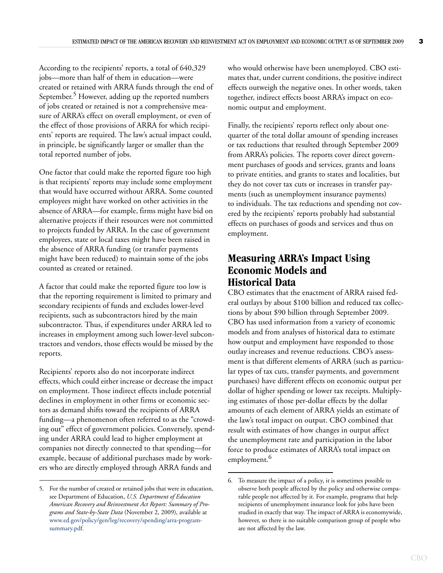<span id="page-10-0"></span>According to the recipients' reports, a total of 640,329 jobs—more than half of them in education—were created or retained with ARRA funds through the end of September.<sup>5</sup> However, adding up the reported numbers of jobs created or retained is not a comprehensive measure of ARRA's effect on overall employment, or even of the effect of those provisions of ARRA for which recipients' reports are required. The law's actual impact could, in principle, be significantly larger or smaller than the total reported number of jobs.

One factor that could make the reported figure too high is that recipients' reports may include some employment that would have occurred without ARRA. Some counted employees might have worked on other activities in the absence of ARRA—for example, firms might have bid on alternative projects if their resources were not committed to projects funded by ARRA. In the case of government employees, state or local taxes might have been raised in the absence of ARRA funding (or transfer payments might have been reduced) to maintain some of the jobs counted as created or retained.

A factor that could make the reported figure too low is that the reporting requirement is limited to primary and secondary recipients of funds and excludes lower-level recipients, such as subcontractors hired by the main subcontractor. Thus, if expenditures under ARRA led to increases in employment among such lower-level subcontractors and vendors, those effects would be missed by the reports.

Recipients' reports also do not incorporate indirect effects, which could either increase or decrease the impact on employment. Those indirect effects include potential declines in employment in other firms or economic sectors as demand shifts toward the recipients of ARRA funding—a phenomenon often referred to as the "crowding out" effect of government policies. Conversely, spending under ARRA could lead to higher employment at companies not directly connected to that spending—for example, because of additional purchases made by workers who are directly employed through ARRA funds and

who would otherwise have been unemployed. CBO estimates that, under current conditions, the positive indirect effects outweigh the negative ones. In other words, taken together, indirect effects boost ARRA's impact on economic output and employment.

Finally, the recipients' reports reflect only about onequarter of the total dollar amount of spending increases or tax reductions that resulted through September 2009 from ARRA's policies. The reports cover direct government purchases of goods and services, grants and loans to private entities, and grants to states and localities, but they do not cover tax cuts or increases in transfer payments (such as unemployment insurance payments) to individuals. The tax reductions and spending not covered by the recipients' reports probably had substantial effects on purchases of goods and services and thus on employment.

# **Measuring ARRA's Impact Using Economic Models and Historical Data**

CBO estimates that the enactment of ARRA raised federal outlays by about \$100 billion and reduced tax collections by about \$90 billion through September 2009. CBO has used information from a variety of economic models and from analyses of historical data to estimate how output and employment have responded to those outlay increases and revenue reductions. CBO's assessment is that different elements of ARRA (such as particular types of tax cuts, transfer payments, and government purchases) have different effects on economic output per dollar of higher spending or lower tax receipts. Multiplying estimates of those per-dollar effects by the dollar amounts of each element of ARRA yields an estimate of the law's total impact on output. CBO combined that result with estimates of how changes in output affect the unemployment rate and participation in the labor force to produce estimates of ARRA's total impact on employment.<sup>6</sup>

<sup>5.</sup> For the number of created or retained jobs that were in education, see Department of Education, *U.S. Department of Education American Recovery and Reinvestment Act Report: Summary of Programs and State-by-State Data* (November 2, 2009), available at [www.ed.gov/policy/gen/leg/recovery/spending/arra-program](http://www.ed.gov/policy/gen/leg/recovery/spending/arra-program-summary.pdf)summary.pdf.

<sup>6.</sup> To measure the impact of a policy, it is sometimes possible to observe both people affected by the policy and otherwise comparable people not affected by it. For example, programs that help recipients of unemployment insurance look for jobs have been studied in exactly that way. The impact of ARRA is economywide, however, so there is no suitable comparison group of people who are not affected by the law.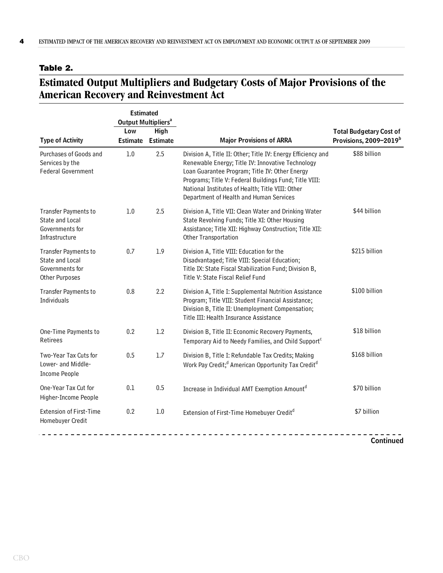#### <span id="page-11-0"></span>**Table 2.**

# **Estimated Output Multipliers and Budgetary Costs of Major Provisions of the American Recovery and Reinvestment Act**

|                                                                              | <b>Estimated</b><br>Output Multipliers <sup>a</sup> |                                         |                                                                                                                                                                                                                                                                                                                              |                                                                      |
|------------------------------------------------------------------------------|-----------------------------------------------------|-----------------------------------------|------------------------------------------------------------------------------------------------------------------------------------------------------------------------------------------------------------------------------------------------------------------------------------------------------------------------------|----------------------------------------------------------------------|
| <b>Type of Activity</b>                                                      | Low                                                 | <b>High</b><br><b>Estimate Estimate</b> | <b>Major Provisions of ARRA</b>                                                                                                                                                                                                                                                                                              | <b>Total Budgetary Cost of</b><br>Provisions, 2009-2019 <sup>b</sup> |
| Purchases of Goods and<br>Services by the<br><b>Federal Government</b>       | 1.0                                                 | 2.5                                     | Division A, Title II: Other; Title IV: Energy Efficiency and<br>Renewable Energy; Title IV: Innovative Technology<br>Loan Guarantee Program; Title IV: Other Energy<br>Programs; Title V: Federal Buildings Fund; Title VIII:<br>National Institutes of Health; Title VIII: Other<br>Department of Health and Human Services | \$88 billion                                                         |
| Transfer Payments to<br>State and Local<br>Governments for<br>Infrastructure | 1.0                                                 | 2.5                                     | Division A, Title VII: Clean Water and Drinking Water<br>State Revolving Funds; Title XI: Other Housing<br>Assistance; Title XII: Highway Construction; Title XII:<br>Other Transportation                                                                                                                                   | \$44 billion                                                         |
| Transfer Payments to<br>State and Local<br>Governments for<br>Other Purposes | 0.7                                                 | 1.9                                     | Division A, Title VIII: Education for the<br>Disadvantaged; Title VIII: Special Education;<br>Title IX: State Fiscal Stabilization Fund; Division B,<br>Title V: State Fiscal Relief Fund                                                                                                                                    | \$215 billion                                                        |
| <b>Transfer Payments to</b><br>Individuals                                   | 0.8                                                 | 2.2                                     | Division A, Title I: Supplemental Nutrition Assistance<br>Program; Title VIII: Student Financial Assistance;<br>Division B, Title II: Unemployment Compensation;<br>Title III: Health Insurance Assistance                                                                                                                   | \$100 billion                                                        |
| One-Time Payments to<br>Retirees                                             | 0.2                                                 | 1.2                                     | Division B, Title II: Economic Recovery Payments,<br>Temporary Aid to Needy Families, and Child Support <sup>c</sup>                                                                                                                                                                                                         | \$18 billion                                                         |
| Two-Year Tax Cuts for<br>Lower- and Middle-<br><b>Income People</b>          | 0.5                                                 | 1.7                                     | Division B, Title I: Refundable Tax Credits; Making<br>Work Pay Credit; <sup>d</sup> American Opportunity Tax Credit <sup>d</sup>                                                                                                                                                                                            | \$168 billion                                                        |
| One-Year Tax Cut for<br>Higher-Income People                                 | 0.1                                                 | 0.5                                     | Increase in Individual AMT Exemption Amount <sup>d</sup>                                                                                                                                                                                                                                                                     | \$70 billion                                                         |
| <b>Extension of First-Time</b><br>Homebuyer Credit                           | 0.2                                                 | 1.0                                     | Extension of First-Time Homebuyer Credit <sup>d</sup>                                                                                                                                                                                                                                                                        | \$7 billion                                                          |

**Continued**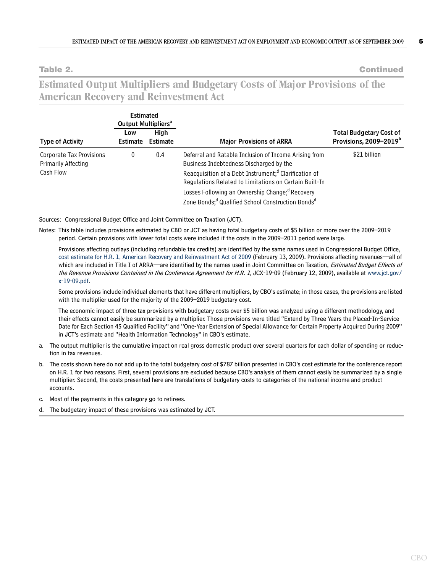<span id="page-12-0"></span>

**Table 2. Continued**

#### ESUMACU VULPUL MULUPILLIS and budgetary Gosts of Major Frovisions of the **American Recovery and Reinvestment Act**

|                                                                            | <b>Estimated</b><br><b>Output Multipliers<sup>a</sup></b> |                         |                                                                                                                                                                                                                                                                                                                                                                             |                                                                      |
|----------------------------------------------------------------------------|-----------------------------------------------------------|-------------------------|-----------------------------------------------------------------------------------------------------------------------------------------------------------------------------------------------------------------------------------------------------------------------------------------------------------------------------------------------------------------------------|----------------------------------------------------------------------|
| <b>Type of Activity</b>                                                    | Low<br><b>Estimate</b>                                    | High<br><b>Estimate</b> | <b>Major Provisions of ARRA</b>                                                                                                                                                                                                                                                                                                                                             | <b>Total Budgetary Cost of</b><br>Provisions, 2009-2019 <sup>b</sup> |
| <b>Corporate Tax Provisions</b><br><b>Primarily Affecting</b><br>Cash Flow | 0                                                         | 0.4                     | Deferral and Ratable Inclusion of Income Arising from<br>Business Indebtedness Discharged by the<br>Reacquisition of a Debt Instrument; <sup>d</sup> Clarification of<br>Regulations Related to Limitations on Certain Built-In<br>Losses Following an Ownership Change; <sup>d</sup> Recovery<br>Zone Bonds; <sup>d</sup> Qualified School Construction Bonds <sup>d</sup> | \$21 billion                                                         |

Sources: Congressional Budget Office and Joint Committee on Taxation (JCT).

Notes: This table includes provisions estimated by CBO or JCT as having total budgetary costs of \$5 billion or more over the 2009–2019 period. Certain provisions with lower total costs were included if the costs in the 2009–2011 period were large.

Provisions affecting outlays (including refundable tax credits) are identified by the same names used in Congressional Budget Office, [cost estimate for H.R. 1, American Recovery and Reinvestment Act of 2009](http://www.cbo.gov/doc.cfm?index=9989) (February 13, 2009). Provisions affecting revenues—all of which are included in Title I of ARRA—are identified by the names used in Joint Committee on Taxation, Estimated Budget Effects of the Revenue Provisions Contained in the Conference Agreement for H.R. 1, JCX-19-09 (February 12, 2009), available at [www.jct.gov/](http://www.jct.gov/x-19-09.pdf) x-19-09.pdf.

Some provisions include individual elements that have different multipliers, by CBO's estimate; in those cases, the provisions are listed with the multiplier used for the majority of the 2009–2019 budgetary cost.

The economic impact of three tax provisions with budgetary costs over \$5 billion was analyzed using a different methodology, and their effects cannot easily be summarized by a multiplier. Those provisions were titled "Extend by Three Years the Placed-In-Service Date for Each Section 45 Qualified Facility" and "One-Year Extension of Special Allowance for Certain Property Acquired During 2009" in JCT's estimate and "Health Information Technology" in CBO's estimate.

- a. The output multiplier is the cumulative impact on real gross domestic product over several quarters for each dollar of spending or reduction in tax revenues.
- b. The costs shown here do not add up to the total budgetary cost of \$787 billion presented in CBO's cost estimate for the conference report on H.R. 1 for two reasons. First, several provisions are excluded because CBO's analysis of them cannot easily be summarized by a single multiplier. Second, the costs presented here are translations of budgetary costs to categories of the national income and product accounts.
- c. Most of the payments in this category go to retirees.
- d. The budgetary impact of these provisions was estimated by JCT.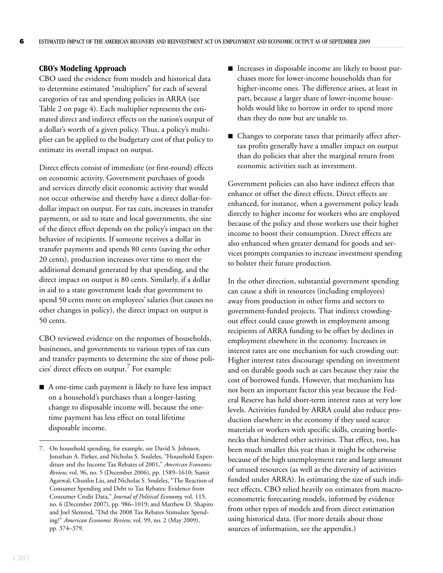#### <span id="page-13-0"></span>**CBO's Modeling Approach**

CBO used the evidence from models and historical data to determine estimated "multipliers" for each of several categories of tax and spending policies in ARRA (see [Table 2 on page 4](#page-11-0)). Each multiplier represents the estimated direct and indirect effects on the nation's output of a dollar's worth of a given policy. Thus, a policy's multiplier can be applied to the budgetary cost of that policy to estimate its overall impact on output.

Direct effects consist of immediate (or first-round) effects on economic activity. Government purchases of goods and services directly elicit economic activity that would not occur otherwise and thereby have a direct dollar-fordollar impact on output. For tax cuts, increases in transfer payments, or aid to state and local governments, the size of the direct effect depends on the policy's impact on the behavior of recipients. If someone receives a dollar in transfer payments and spends 80 cents (saving the other 20 cents), production increases over time to meet the additional demand generated by that spending, and the direct impact on output is 80 cents. Similarly, if a dollar in aid to a state government leads that government to spend 50 cents more on employees' salaries (but causes no other changes in policy), the direct impact on output is 50 cents.

CBO reviewed evidence on the responses of households, businesses, and governments to various types of tax cuts and transfer payments to determine the size of those policies' direct effects on output.<sup>7</sup> For example:

 $\blacksquare$  A one-time cash payment is likely to have less impact on a household's purchases than a longer-lasting change to disposable income will, because the onetime payment has less effect on total lifetime disposable income.

- Increases in disposable income are likely to boost purchases more for lower-income households than for higher-income ones. The difference arises, at least in part, because a larger share of lower-income households would like to borrow in order to spend more than they do now but are unable to.
- Changes to corporate taxes that primarily affect aftertax profits generally have a smaller impact on output than do policies that alter the marginal return from economic activities such as investment.

Government policies can also have indirect effects that enhance or offset the direct effects. Direct effects are enhanced, for instance, when a government policy leads directly to higher income for workers who are employed because of the policy and those workers use their higher income to boost their consumption. Direct effects are also enhanced when greater demand for goods and services prompts companies to increase investment spending to bolster their future production.

In the other direction, substantial government spending can cause a shift in resources (including employees) away from production in other firms and sectors to government-funded projects. That indirect crowdingout effect could cause growth in employment among recipients of ARRA funding to be offset by declines in employment elsewhere in the economy. Increases in interest rates are one mechanism for such crowding out: Higher interest rates discourage spending on investment and on durable goods such as cars because they raise the cost of borrowed funds. However, that mechanism has not been an important factor this year because the Federal Reserve has held short-term interest rates at very low levels. Activities funded by ARRA could also reduce production elsewhere in the economy if they used scarce materials or workers with specific skills, creating bottlenecks that hindered other activities. That effect, too, has been much smaller this year than it might be otherwise because of the high unemployment rate and large amount of unused resources (as well as the diversity of activities funded under ARRA). In estimating the size of such indirect effects, CBO relied heavily on estimates from macroeconometric forecasting models, informed by evidence from other types of models and from direct estimation using historical data. (For more details about those sources of information, see the appendix.)

<sup>7.</sup> On household spending, for example, see David S. Johnson, Jonathan A. Parker, and Nicholas S. Souleles, "Household Expenditure and the Income Tax Rebates of 2001," American Economic - *Review*, vol. 96, no. 5 (December 2006), pp. 1589–1610; Sumit Agarwal, Chunlin Liu, and Nicholas S. Souleles, "The Reaction of Consumer Spending and Debt to Tax Rebates: Evidence from Consumer Credit Data," *Journal of Political Economy,* vol. 115, no. 6 (December 2007), pp. 986–1019; and Matthew D. Shapiro and Joel Slemrod, "Did the 2008 Tax Rebates Stimulate Spending?" *American Economic Review,* vol. 99, no. 2 (May 2009), pp. 374–379.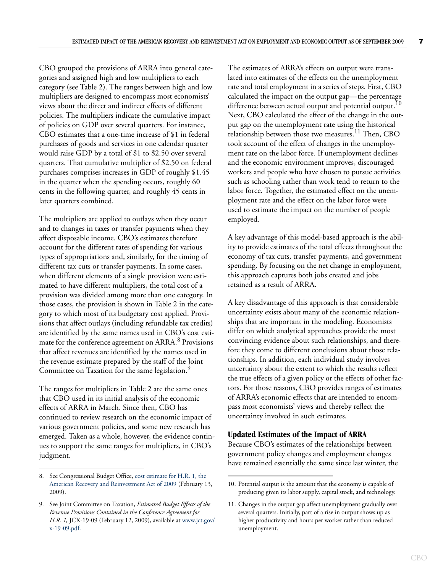<span id="page-14-0"></span>CBO grouped the provisions of ARRA into general categories and assigned high and low multipliers to each category (see [Table 2](#page-11-0)). The ranges between high and low multipliers are designed to encompass most economists' views about the direct and indirect effects of different policies. The multipliers indicate the cumulative impact of policies on GDP over several quarters. For instance, CBO estimates that a one-time increase of \$1 in federal purchases of goods and services in one calendar quarter would raise GDP by a total of \$1 to \$2.50 over several quarters. That cumulative multiplier of \$2.50 on federal purchases comprises increases in GDP of roughly \$1.45 in the quarter when the spending occurs, roughly 60 cents in the following quarter, and roughly 45 cents in later quarters combined.

The multipliers are applied to outlays when they occur and to changes in taxes or transfer payments when they affect disposable income. CBO's estimates therefore account for the different rates of spending for various types of appropriations and, similarly, for the timing of different tax cuts or transfer payments. In some cases, when different elements of a single provision were estimated to have different multipliers, the total cost of a provision was divided among more than one category. In those cases, the provision is shown in Table 2 in the category to which most of its budgetary cost applied. Provisions that affect outlays (including refundable tax credits) are identified by the same names used in CBO's cost estimate for the conference agreement on ARRA.<sup>8</sup> Provisions that affect revenues are identified by the names used in the revenue estimate prepared by the staff of the Joint Committee on Taxation for the same legislation.<sup>9</sup>

The ranges for multipliers in Table 2 are the same ones that CBO used in its initial analysis of the economic effects of ARRA in March. Since then, CBO has continued to review research on the economic impact of various government policies, and some new research has emerged. Taken as a whole, however, the evidence continues to support the same ranges for multipliers, in CBO's judgment.

The estimates of ARRA's effects on output were translated into estimates of the effects on the unemployment rate and total employment in a series of steps. First, CBO calculated the impact on the output gap—the percentage difference between actual output and potential output.<sup>10</sup> Next, CBO calculated the effect of the change in the output gap on the unemployment rate using the historical relationship between those two measures.<sup>11</sup> Then, CBO took account of the effect of changes in the unemployment rate on the labor force. If unemployment declines and the economic environment improves, discouraged workers and people who have chosen to pursue activities such as schooling rather than work tend to return to the labor force. Together, the estimated effect on the unemployment rate and the effect on the labor force were used to estimate the impact on the number of people employed.

A key advantage of this model-based approach is the ability to provide estimates of the total effects throughout the economy of tax cuts, transfer payments, and government spending. By focusing on the net change in employment, this approach captures both jobs created and jobs retained as a result of ARRA.

A key disadvantage of this approach is that considerable uncertainty exists about many of the economic relationships that are important in the modeling. Economists differ on which analytical approaches provide the most convincing evidence about such relationships, and therefore they come to different conclusions about those relationships. In addition, each individual study involves uncertainty about the extent to which the results reflect the true effects of a given policy or the effects of other factors. For those reasons, CBO provides ranges of estimates of ARRA's economic effects that are intended to encompass most economists' views and thereby reflect the uncertainty involved in such estimates.

#### **Updated Estimates of the Impact of ARRA**

Because CBO's estimates of the relationships between government policy changes and employment changes have remained essentially the same since last winter, the

<sup>8.</sup> See Congressional Budget Office, [cost estimate for H.R. 1, the](http://www.cbo.gov/ftpdocs/99xx/doc9989/hr1conference.pdf)  American Recovery and Reinvestment Act of 2009 (February 13, 2009).

<sup>9.</sup> See Joint Committee on Taxation, *Estimated Budget Effects of the Revenue Provisions Contained in the Conference Agreement for H.R. 1,* JCX-19-09 (February 12, 2009), available at [www.jct.gov/](http://www.jct.gov/x-19-09.pdf) x-19-09.pdf.

<sup>10.</sup> Potential output is the amount that the economy is capable of producing given its labor supply, capital stock, and technology.

<sup>11.</sup> Changes in the output gap affect unemployment gradually over several quarters. Initially, part of a rise in output shows up as higher productivity and hours per worker rather than reduced unemployment.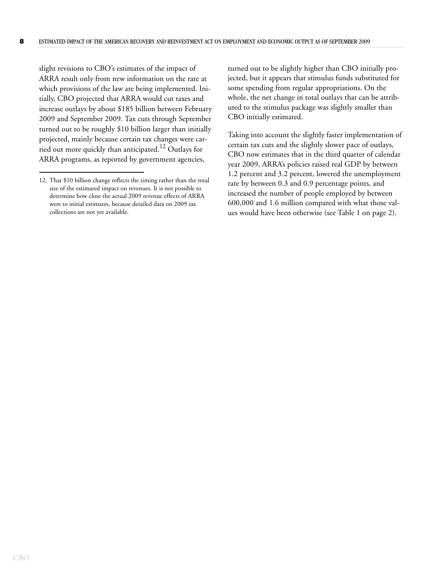slight revisions to CBO's estimates of the impact of ARRA result only from new information on the rate at which provisions of the law are being implemented. Initially, CBO projected that ARRA would cut taxes and increase outlays by about \$185 billion between February 2009 and September 2009. Tax cuts through September turned out to be roughly \$10 billion larger than initially projected, mainly because certain tax changes were carried out more quickly than anticipated.<sup>12</sup> Outlays for ARRA programs, as reported by government agencies,

turned out to be slightly higher than CBO initially projected, but it appears that stimulus funds substituted for some spending from regular appropriations. On the whole, the net change in total outlays that can be attributed to the stimulus package was slightly smaller than CBO initially estimated.

Taking into account the slightly faster implementation of certain tax cuts and the slightly slower pace of outlays, CBO now estimates that in the third quarter of calendar year 2009, ARRA's policies raised real GDP by between 1.2 percent and 3.2 percent, lowered the unemployment rate by between 0.3 and 0.9 percentage points, and increased the number of people employed by between 600,000 and 1.6 million compared with what those values would have been otherwise (see [Table 1 on page 2](#page-9-0)).

<sup>12.</sup> That \$10 billion change reflects the timing rather than the total size of the estimated impact on revenues. It is not possible to determine how close the actual 2009 revenue effects of ARRA were to initial estimates, because detailed data on 2009 tax collections are not yet available.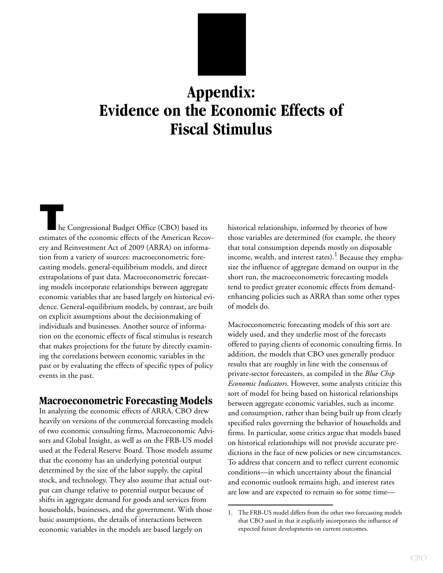# <span id="page-16-0"></span>**Appendix: Evidence on the Economic Effects of**

**Fiscal Stimulus**

**T**he Congressional Budget Office (CBO) based its estimates of the economic effects of the American Recovery and Reinvestment Act of 2009 (ARRA) on information from a variety of sources: macroeconometric forecasting models, general-equilibrium models, and direct extrapolations of past data. Macroeconometric forecasting models incorporate relationships between aggregate economic variables that are based largely on historical evidence. General-equilibrium models, by contrast, are built on explicit assumptions about the decisionmaking of individuals and businesses. Another source of information on the economic effects of fiscal stimulus is research that makes projections for the future by directly examining the correlations between economic variables in the past or by evaluating the effects of specific types of policy events in the past.

# **Macroeconometric Forecasting Models**

In analyzing the economic effects of ARRA, CBO drew heavily on versions of the commercial forecasting models of two economic consulting firms, Macroeconomic Advisors and Global Insight, as well as on the FRB-US model used at the Federal Reserve Board. Those models assume that the economy has an underlying potential output determined by the size of the labor supply, the capital stock, and technology. They also assume that actual output can change relative to potential output because of shifts in aggregate demand for goods and services from households, businesses, and the government. With those basic assumptions, the details of interactions between economic variables in the models are based largely on

historical relationships, informed by theories of how those variables are determined (for example, the theory that total consumption depends mostly on disposable income, wealth, and interest rates). $^{\rm 1}$  Because they emphasize the influence of aggregate demand on output in the short run, the macroeconometric forecasting models tend to predict greater economic effects from demandenhancing policies such as ARRA than some other types of models do.

Macroeconometric forecasting models of this sort are widely used, and they underlie most of the forecasts offered to paying clients of economic consulting firms. In addition, the models that CBO uses generally produce results that are roughly in line with the consensus of private-sector forecasters, as compiled in the *Blue Chip Economic Indicators*. However, some analysts criticize this sort of model for being based on historical relationships between aggregate economic variables, such as income and consumption, rather than being built up from clearly specified rules governing the behavior of households and firms. In particular, some critics argue that models based on historical relationships will not provide accurate predictions in the face of new policies or new circumstances. To address that concern and to reflect current economic conditions—in which uncertainty about the financial and economic outlook remains high, and interest rates are low and are expected to remain so for some time—

<sup>1.</sup> The FRB-US model differs from the other two forecasting models that CBO used in that it explicitly incorporates the influence of expected future developments on current outcomes.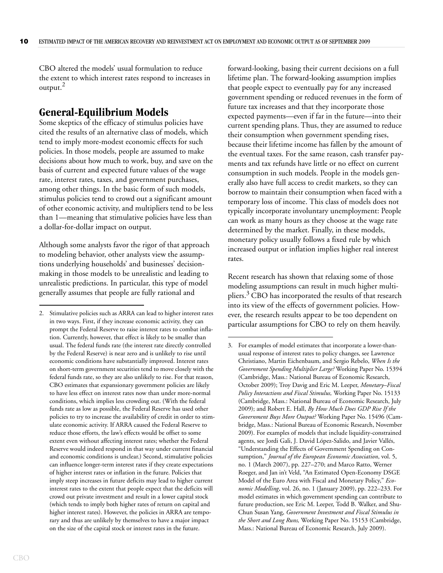CBO altered the models' usual formulation to reduce the extent to which interest rates respond to increases in output.<sup>2</sup>

# **General-Equilibrium Models**

Some skeptics of the efficacy of stimulus policies have cited the results of an alternative class of models, which tend to imply more-modest economic effects for such policies. In those models, people are assumed to make decisions about how much to work, buy, and save on the basis of current and expected future values of the wage rate, interest rates, taxes, and government purchases, among other things. In the basic form of such models, stimulus policies tend to crowd out a significant amount of other economic activity, and multipliers tend to be less than 1—meaning that stimulative policies have less than a dollar-for-dollar impact on output.

Although some analysts favor the rigor of that approach to modeling behavior, other analysts view the assumptions underlying households' and businesses' decisionmaking in those models to be unrealistic and leading to unrealistic predictions. In particular, this type of model generally assumes that people are fully rational and

forward-looking, basing their current decisions on a full lifetime plan. The forward-looking assumption implies that people expect to eventually pay for any increased government spending or reduced revenues in the form of future tax increases and that they incorporate those expected payments—even if far in the future—into their current spending plans. Thus, they are assumed to reduce their consumption when government spending rises, because their lifetime income has fallen by the amount of the eventual taxes. For the same reason, cash transfer payments and tax refunds have little or no effect on current consumption in such models. People in the models generally also have full access to credit markets, so they can borrow to maintain their consumption when faced with a temporary loss of income. This class of models does not typically incorporate involuntary unemployment: People can work as many hours as they choose at the wage rate determined by the market. Finally, in these models, monetary policy usually follows a fixed rule by which increased output or inflation implies higher real interest rates.

Recent research has shown that relaxing some of those modeling assumptions can result in much higher multipliers.<sup>3</sup> CBO has incorporated the results of that research into its view of the effects of government policies. However, the research results appear to be too dependent on particular assumptions for CBO to rely on them heavily.

<sup>2.</sup> Stimulative policies such as ARRA can lead to higher interest rates in two ways. First, if they increase economic activity, they can prompt the Federal Reserve to raise interest rates to combat inflation. Currently, however, that effect is likely to be smaller than usual. The federal funds rate (the interest rate directly controlled by the Federal Reserve) is near zero and is unlikely to rise until economic conditions have substantially improved. Interest rates on short-term government securities tend to move closely with the federal funds rate, so they are also unlikely to rise. For that reason, CBO estimates that expansionary government policies are likely to have less effect on interest rates now than under more-normal conditions, which implies less crowding out. (With the federal funds rate as low as possible, the Federal Reserve has used other policies to try to increase the availability of credit in order to stimulate economic activity. If ARRA caused the Federal Reserve to reduce those efforts, the law's effects would be offset to some extent even without affecting interest rates; whether the Federal Reserve would indeed respond in that way under current financial and economic conditions is unclear.) Second, stimulative policies can influence longer-term interest rates if they create expectations of higher interest rates or inflation in the future. Policies that imply steep increases in future deficits may lead to higher current interest rates to the extent that people expect that the deficits will crowd out private investment and result in a lower capital stock (which tends to imply both higher rates of return on capital and higher interest rates). However, the policies in ARRA are temporary and thus are unlikely by themselves to have a major impact on the size of the capital stock or interest rates in the future.

<sup>3.</sup> For examples of model estimates that incorporate a lower-thanusual response of interest rates to policy changes, see Lawrence Christiano, Martin Eichenbaum, and Sergio Rebelo, *When Is the Government Spending Multiplier Large?* Working Paper No. 15394 (Cambridge, Mass.: National Bureau of Economic Research, October 2009); Troy Davig and Eric M. Leeper, *Monetary–Fiscal Policy Interactions and Fiscal Stimulus,* Working Paper No. 15133 (Cambridge, Mass.: National Bureau of Economic Research, July 2009); and Robert E. Hall, *By How Much Does GDP Rise If the Government Buys More Output?* Working Paper No. 15496 (Cambridge, Mass.: National Bureau of Economic Research, November 2009). For examples of models that include liquidity-constrained agents, see Jordi Gali, J. David López-Salido, and Javier Vallés, "Understanding the Effects of Government Spending on Consumption," *Journal of the European Economic Association*, vol. 5, no. 1 (March 2007), pp. 227–270; and Marco Ratto, Werner Roeger, and Jan in't Veld, "An Estimated Open-Economy DSGE Model of the Euro Area with Fiscal and Monetary Policy," *Economic Modelling*, vol. 26, no. 1 (January 2009), pp. 222–233. For model estimates in which government spending can contribute to future production, see Eric M. Leeper, Todd B. Walker, and Shu-Chun Susan Yang, *Government Investment and Fiscal Stimulus in the Short and Long Runs,* Working Paper No. 15153 (Cambridge, Mass.: National Bureau of Economic Research, July 2009).